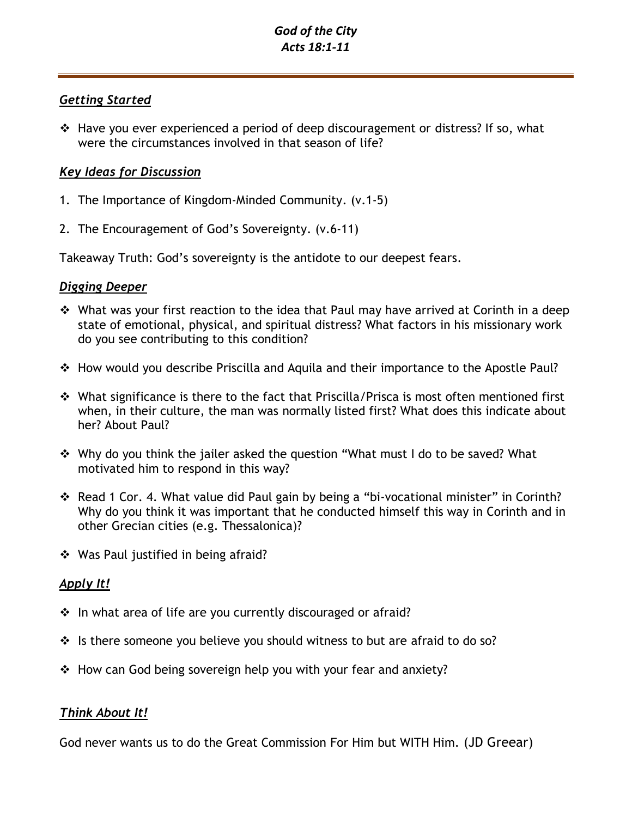### *God of the City Acts 18:1-11*

### *Getting Started*

❖ Have you ever experienced a period of deep discouragement or distress? If so, what were the circumstances involved in that season of life?

## *Key Ideas for Discussion*

- 1. The Importance of Kingdom-Minded Community. (v.1-5)
- 2. The Encouragement of God's Sovereignty. (v.6-11)

Takeaway Truth: God's sovereignty is the antidote to our deepest fears.

### *Digging Deeper*

- ❖ What was your first reaction to the idea that Paul may have arrived at Corinth in a deep state of emotional, physical, and spiritual distress? What factors in his missionary work do you see contributing to this condition?
- ❖ How would you describe Priscilla and Aquila and their importance to the Apostle Paul?
- ❖ What significance is there to the fact that Priscilla/Prisca is most often mentioned first when, in their culture, the man was normally listed first? What does this indicate about her? About Paul?
- ❖ Why do you think the jailer asked the question "What must I do to be saved? What motivated him to respond in this way?
- ❖ Read 1 Cor. 4. What value did Paul gain by being a "bi-vocational minister" in Corinth? Why do you think it was important that he conducted himself this way in Corinth and in other Grecian cities (e.g. Thessalonica)?
- ❖ Was Paul justified in being afraid?

# *Apply It!*

- ❖ In what area of life are you currently discouraged or afraid?
- ❖ Is there someone you believe you should witness to but are afraid to do so?
- $\div$  How can God being sovereign help you with your fear and anxiety?

# *Think About It!*

God never wants us to do the Great Commission For Him but WITH Him. (JD Greear)